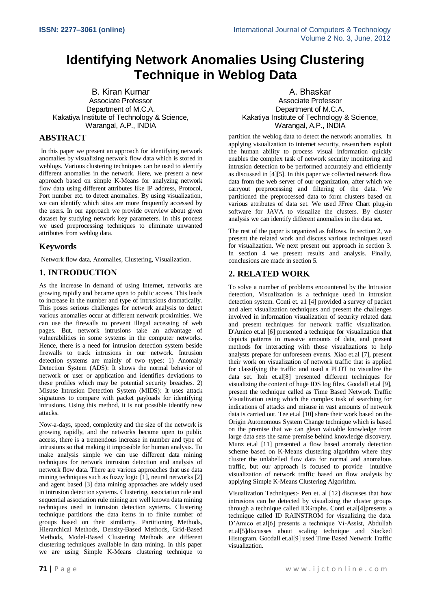# **Identifying Network Anomalies Using Clustering Technique in Weblog Data**

B. Kiran Kumar Associate Professor Department of M.C.A. Kakatiya Institute of Technology & Science, Warangal, A.P., INDIA

# **ABSTRACT**

In this paper we present an approach for identifying network anomalies by visualizing network flow data which is stored in weblogs. Various clustering techniques can be used to identify different anomalies in the network. Here, we present a new approach based on simple K-Means for analyzing network flow data using different attributes like IP address, Protocol, Port number etc. to detect anomalies. By using visualization, we can identify which sites are more frequently accessed by the users. In our approach we provide overview about given dataset by studying network key parameters. In this process we used preprocessing techniques to eliminate unwanted attributes from weblog data.

### **Keywords**

Network flow data, Anomalies, Clustering, Visualization.

### **1. INTRODUCTION**

As the increase in demand of using Internet, networks are growing rapidly and became open to public access. This leads to increase in the number and type of intrusions dramatically. This poses serious challenges for network analysis to detect various anomalies occur at different network proximities. We can use the firewalls to prevent illegal accessing of web pages. But, network intrusions take an advantage of vulnerabilities in some systems in the computer networks. Hence, there is a need for intrusion detection system beside firewalls to track intrusions in our network. Intrusion detection systems are mainly of two types: 1) Anomaly Detection System (ADS): It shows the normal behavior of network or user or application and identifies deviations to these profiles which may be potential security breaches. 2) Misuse Intrusion Detection System (MIDS): It uses attack signatures to compare with packet payloads for identifying intrusions. Using this method, it is not possible identify new attacks.

Now-a-days, speed, complexity and the size of the network is growing rapidly, and the networks became open to public access, there is a tremendous increase in number and type of intrusions so that making it impossible for human analysis. To make analysis simple we can use different data mining techniques for network intrusion detection and analysis of network flow data. There are various approaches that use data mining techniques such as fuzzy logic  $\overline{11}$ , neural networks  $\overline{21}$ and agent based [3] data mining approaches are widely used in intrusion detection systems. Clustering, association rule and sequential association rule mining are well known data mining techniques used in intrusion detection systems. Clustering technique partitions the data items in to finite number of groups based on their similarity. Partitioning Methods, Hierarchical Methods, Density-Based Methods, Grid-Based Methods, Model-Based Clustering Methods are different clustering techniques available in data mining. In this paper we are using Simple K-Means clustering technique to

A. Bhaskar Associate Professor Department of M.C.A. Kakatiya Institute of Technology & Science, Warangal, A.P., INDIA

partition the weblog data to detect the network anomalies. In applying visualization to internet security, researchers exploit the human ability to process visual information quickly enables the complex task of network security monitoring and intrusion detection to be performed accurately and efficiently as discussed in [4][5]. In this paper we collected network flow data from the web server of our organization, after which we carryout preprocessing and filtering of the data. We partitioned the preprocessed data to form clusters based on various attributes of data set. We used JFree Chart plug-in software for JAVA to visualize the clusters. By cluster analysis we can identify different anomalies in the data set.

The rest of the paper is organized as follows. In section 2, we present the related work and discuss various techniques used for visualization. We next present our approach in section 3. In section 4 we present results and analysis. Finally, conclusions are made in section 5.

# **2. RELATED WORK**

To solve a number of problems encountered by the Intrusion detection, Visualization is a technique used in intrusion detection system. Conti et. a1 [4] provided a survey of packet and alert visualization techniques and present the challenges involved in information visualization of security related data and present techniques for network traffic visualization. D'Amico et.al [6] presented a technique for visualization that depicts patterns in massive amounts of data, and present methods for interacting with those visualizations to help analysts prepare for unforeseen events. Xiao et.al [7], present their work on visualization of network traffic that is applied for classifying the traffic and used a PLOT to visualize the data set. Itoh et.al[8] presented different techniques for visualizing the content of huge IDS log files. Goodall et.al [9], present the technique called as Time Based Network Traffic Visualization using which the complex task of searching for indications of attacks and misuse in vast amounts of network data is carried out. Tee et.al [10] share their work based on the Origin Autonomous System Change technique which is based on the premise that we can glean valuable knowledge from large data sets the same premise behind knowledge discovery. Munz et.al [11] presented a flow based anomaly detection scheme based on K-Means clustering algorithm where they cluster the unlabelled flow data for normal and anomalous traffic, but our approach is focused to provide intuitive visualization of network traffic based on flow analysis by applying Simple K-Means Clustering Algorithm.

Visualization Techniques:- Pen et. al [12] discusses that how intrusions can be detected by visualizing the cluster groups through a technique called IDGraphs. Conti et.al[4]presents a technique called ID RAINSTROM for visualizing the data. D'Amico et.al[6] presents a technique Vi-Assist, Abdullah et.al[5]discusses about scaling technique and Stacked Histogram. Goodall et.al[9] used Time Based Network Traffic visualization.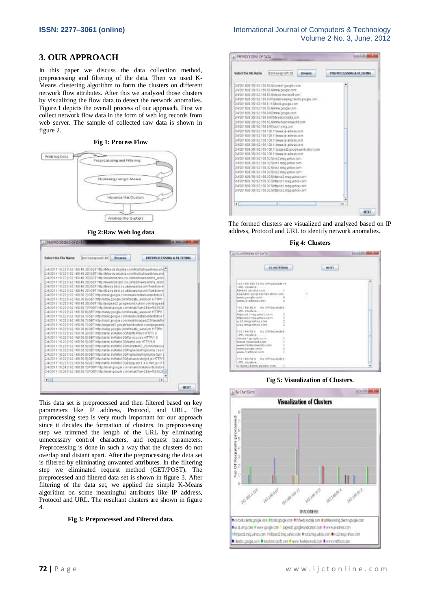### **3. OUR APPROACH**

In this paper we discuss the data collection method, preprocessing and filtering of the data. Then we used K-Means clustering algorithm to form the clusters on different network flow attributes. After this we analyzed those clusters by visualizing the flow data to detect the network anomalies. Figure.1 depicts the overall process of our approach. First we collect network flow data in the form of web log records from web server. The sample of collected raw data is shown in figure 2.

#### **Fig 1: Process Flow**



**Fig 2:Raw Web log data**

| Select the File Name                                                                                                                                                                                                                                                                                                                                                                                                                                                                                                                                                                                                                                                                                                                                                                                                                                                                                                                                                                                                                                                                                                                                                                                                                                                                                                                                                                                                                                                                                                                                                                                                                                                                                                                                                                                                                                                                                                                                                                                                                                                                                                                                                                                           | <b>Wernswapners</b> be- | <b>EN swse</b> | PREPROCESSING & FILTERING |
|----------------------------------------------------------------------------------------------------------------------------------------------------------------------------------------------------------------------------------------------------------------------------------------------------------------------------------------------------------------------------------------------------------------------------------------------------------------------------------------------------------------------------------------------------------------------------------------------------------------------------------------------------------------------------------------------------------------------------------------------------------------------------------------------------------------------------------------------------------------------------------------------------------------------------------------------------------------------------------------------------------------------------------------------------------------------------------------------------------------------------------------------------------------------------------------------------------------------------------------------------------------------------------------------------------------------------------------------------------------------------------------------------------------------------------------------------------------------------------------------------------------------------------------------------------------------------------------------------------------------------------------------------------------------------------------------------------------------------------------------------------------------------------------------------------------------------------------------------------------------------------------------------------------------------------------------------------------------------------------------------------------------------------------------------------------------------------------------------------------------------------------------------------------------------------------------------------------|-------------------------|----------------|---------------------------|
| 204/2011 16:22 (192.168.40.20) OET filtp.Mdseds mozilla.com/frefox/teadlines.am(2)<br>2/4/2011 16:22 (192.168.40.20) GET http://bdoeds.miszlita.com/findbx/headlines.em<br>2/4/2011 18:22 (192.188.40.20) GET No. Prewsrss.blc.co.ukhsamewsantine_work<br>2/4/2011 16:22 (192.168.40.28) GET http://newsriss.bbc.co.uk/tss/news/intine_work<br>2/4/2011 16:22 (192.18), 40.22) OET filts: Meeste boci ce univerwalves em/Pedibornie<br>2/4/2011 16:22 (192.168.40.20) OET http://leads.brock.co.uk/news/ras.nml?addon=il<br>2/4/2011 16:22 (193.168.58.7) GET info://mail.google.com/mail/cirtata/contactstore<br>2/4/2011 18:22 (193.169.30.6) GET http://relay.google.com/create_session HTTR/1.<br>2/4/2011 16:22 (192.168.40.20) GET http://page.ad2.posulesyndication.com/pagead<br>2/4/2011 16:22 (192.168.50.1) POST HB/Jmail.google.com/mail/?ul=2≤=f103525<br>2/4/2011 16:22 (1921) 68:30:60 GET http://retay.google.com/create_session HTTP/1<br>2/4/2011 16:22 (192.168.9) 7/ GET http://mail.google.com/mail/citataitontactston/<br>2/4/2011 18:22 (192.168.50.7) GET http://musi.google.com/musil/mages/2/filtersiv/fol-<br>2N47211 16:22 (1921F88 50.7) GET http://pagead2.googlenandication.com/pagead/<br>2/4/2011 14:22 (1931) 68:30.00 GET http://wiay.google.com/cneate_swession.http://<br>2/4/2011 16:22 (192.168.50.5) GET http://airfai.in/Artei-3G/tariffa.html HTTP:1.0<br>24/2011 16:22 (192.169.90.5) GET http://airtal.in/Antoi-3Gifte-you.com HTTP/1.0<br>24/2011 16:22 (192.169.50 S) GET http://airtel.in/Airtel-3Glaintel.com HTTP/1.0<br>2/4/2011 16:22 (192:160.50 S) GET http://airlel.in/Arlel-3D/Scripts/AD, RunActiveCoe<br>2/4/2011 14:22 (192:168.50.5) OET http://aktai.in/Artei-30/highsticts/highstick.com h<br>2/4/2011 16:22 (191.168.50.5) GET Hispolairtal in Kirtai-38/highstide/righstide-full1.<br>2/4/2011 18:22 (192.168.50.5) GET http://aktui.in/Artoi-30/is/superstelekt.is HTTP/1<br>2/4/2011 16:22 (192.188.00 S) GET http://airfel.in/Wittel-3G&slinuxen-1.4.4 min.js HTT<br>204/2011 16 24 (192:188.9d.7) POST http://mail.google.com/mail/citatalcontactWore<br>2/4/2011 16:26 (192:368.50.7) POST filts://mak.google.com/mail/?ui=288e-f103525[a] |                         |                |                           |
| E A                                                                                                                                                                                                                                                                                                                                                                                                                                                                                                                                                                                                                                                                                                                                                                                                                                                                                                                                                                                                                                                                                                                                                                                                                                                                                                                                                                                                                                                                                                                                                                                                                                                                                                                                                                                                                                                                                                                                                                                                                                                                                                                                                                                                            |                         |                | ٠                         |

This data set is preprocessed and then filtered based on key parameters like IP address, Protocol, and URL. The preprocessing step is very much important for our approach since it decides the formation of clusters. In preprocessing step we trimmed the length of the URL by eliminating unnecessary control characters, and request parameters. Preprocessing is done in such a way that the clusters do not overlap and distant apart. After the preprocessing the data set is filtered by eliminating unwanted attributes. In the filtering step we eliminated request method (GET/POST). The preprocessed and filtered data set is shown in figure 3. After filtering of the data set, we applied the simple K-Means algorithm on some meaningful attributes like IP address, Protocol and URL. The resultant clusters are shown in figure 4.

#### **Fig 3: Preprocessed and Filtered data.**

| Select the File Name.                      | <b>REIDEAVACTION Ltd.</b>                                                                                                                                                                                                                                                                                                                                                                                                                                                                                                                                                                                                                                                                                                                                                                                                                                                                                                                                                                                                                                                                                                                                                                                               | <b>Browse</b> | PREPROCESSING & RUTERING |
|--------------------------------------------|-------------------------------------------------------------------------------------------------------------------------------------------------------------------------------------------------------------------------------------------------------------------------------------------------------------------------------------------------------------------------------------------------------------------------------------------------------------------------------------------------------------------------------------------------------------------------------------------------------------------------------------------------------------------------------------------------------------------------------------------------------------------------------------------------------------------------------------------------------------------------------------------------------------------------------------------------------------------------------------------------------------------------------------------------------------------------------------------------------------------------------------------------------------------------------------------------------------------------|---------------|--------------------------|
| 234/201109:261192 105.8.67/us.If. almg.com | 294/201103 20112 100.50 4/d ents1.google.co.im<br>294/201109-201512-103.50 Mwww.google.com<br>2H/2011(2E:35132 165 50-Retaut Inicipalit com<br>DIAQ011(89:39142.180 0.67)safebrowsing clients annule com-<br>2H2D11(883S)182.166.0.1198oors.google.com<br>214/2011033:351152.169.50-Rwww.google.com<br>294/201109-361152-105 0.07/www.google.com<br>234/2011) 09:36(112.198.0.07/thfasids.migdita.com<br>28/201109:30 LE2 103 50. Ewww.freshersworld.com<br>214/2011031-20152 169.100.11 (www.is-adress.com<br>284/201109-060102.100.100.11 (www.id-adress.com<br>204/201109/36 192:160.100.11 (www.is-adress.com<br>204/201103-36(192.193.100.11 www.ip-adress.com<br>[14/2011/09:36t192.168.100.11/pagead2.googlesyndication.com<br>2/4/201109-36(192.168.100.11)www.la-adress.com<br>294/2011099.36(182.108.30.flives2.msg.virhoo.com<br>2H4/2D11109.361182.108.30.5Wcs1.msg.yahoo.com<br>(396/2011) 03-261132 199 30:50:cs1 mig vahoo.tom<br>[38/201109-301192.169.30:flincs,2 msg yahoo.com<br>24/2011(9):36(192.168.30:9httpvcs2.msg.yahoo.com<br>294/2011/09:36(192.168.30.5) http://st.nnsg.yahoo.com<br>14/101109:36(162.168.30.5httpvcs1.ntdg.yatico.com<br>24/2011/03/36/192 108 30:5/httpvcs2.msg.vaheo.com |               |                          |
|                                            |                                                                                                                                                                                                                                                                                                                                                                                                                                                                                                                                                                                                                                                                                                                                                                                                                                                                                                                                                                                                                                                                                                                                                                                                                         |               |                          |

The formed clusters are visualized and analyzed based on IP address, Protocol and URL to identify network anomalies.

|  |  |  | <b>Fig 4: Clusters</b> |
|--|--|--|------------------------|
|--|--|--|------------------------|

| A CUSTERING OF DATA                          |                        | ing (Division |
|----------------------------------------------|------------------------|---------------|
| <b>Commentant</b>                            | <b>KILDING BIRDING</b> |               |
| 152.110.100.11 Nic of Magazints 14           |                        |               |
| LIEL chariers<br>Mesos mozilla com           |                        |               |
| pageant pospiesyntalation com-               | ī,                     |               |
|                                              |                        |               |
| FOOS BROOKIDE-GLANWA                         |                        |               |
| 192.116,30.5 his of Requested                |                        |               |
| UPIL clusters                                |                        |               |
| Intercent Amegawitos cent.                   | z                      |               |
| FRENCKZ THERAWHER EETH                       |                        |               |
| HO3.0076VBERR T696                           | <b>ARTISTS</b>         |               |
| Frest 2 minutes gainting Steart              |                        |               |
| 197 158 SQ.A Fax of Findamethic              |                        |               |
|                                              |                        |               |
| cherta1.poogle.co.m.                         |                        |               |
| maut microsoft.com<br>www.thistheroworld.com |                        |               |
| HOS BECOME MAIN                              |                        |               |
| www.material.com                             |                        |               |
|                                              |                        |               |
| 182.160.50.0 No of Requests3                 |                        |               |
| <b>CIRC Chiefers</b>                         |                        | υ             |
| pr-tochi.i Burtta poogla.com                 |                        |               |

**Fig 5: Visualization of Clusters.**